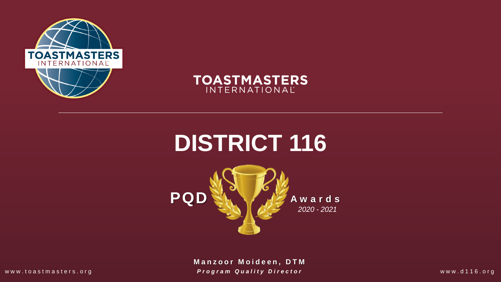



# **DISTRICT 116**



**M a n z o o r M o i d e e n , DTM** www.toastmasters.org **Program Quality Director Exercíal State Additional With the Windows** www.d116.org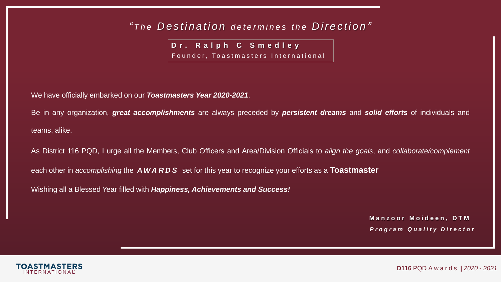### *" T h e D e s t i n a t i o n d e t e r m i n e s t he D i r e c t i o n "*

**D r . R a l p h C S m e d l e y** 

Founder, Toastmasters International

We have officially embarked on our *Toastmasters Year 2020-2021*.

Be in any organization, *great accomplishments* are always preceded by *persistent dreams* and *solid efforts* of individuals and teams, alike.

As District 116 PQD, I urge all the Members, Club Officers and Area/Division Officials to *align the goals*, and *collaborate/complement*

each other in *accomplishing* the *A W A R D S* set for this year to recognize your efforts as a **Toastmaster**

Wishing all a Blessed Year filled with *Happiness, Achievements and Success!*

**M a n z o o r M o i d e e n , D T M** *P r o g r a m Q u a l i t y D i r e c t o r*

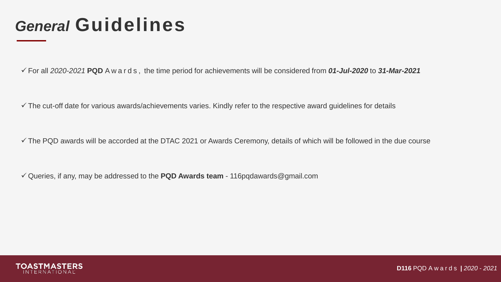## *General* **Guidelines**

For all *2020-2021* **PQD** A w a r d s , the time period for achievements will be considered from *01-Jul-2020* to *31-Mar-2021*

 $\checkmark$  The cut-off date for various awards/achievements varies. Kindly refer to the respective award guidelines for details

 $\checkmark$  The PQD awards will be accorded at the DTAC 2021 or Awards Ceremony, details of which will be followed in the due course

Queries, if any, may be addressed to the **PQD Awards team** - 116pqdawards@gmail.com

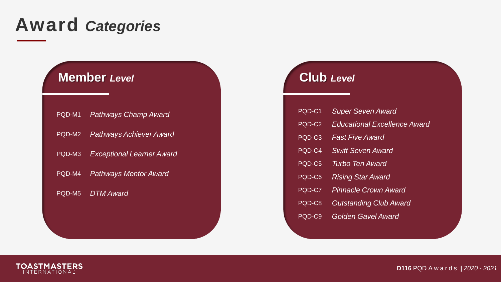## **Award** *Categories*

### **Member** *Level* **Club** *Level*

| PQD-M1 | Pathways Champ Award             |
|--------|----------------------------------|
| PQD-M2 | <b>Pathways Achiever Award</b>   |
| PQD-M3 | <b>Exceptional Learner Award</b> |
| PQD-M4 | <b>Pathways Mentor Award</b>     |
| PQD-M5 | DTM Award                        |
|        |                                  |

| PQD-C1 | <b>Super Seven Award</b>            |
|--------|-------------------------------------|
| PQD-C2 | <b>Educational Excellence Award</b> |
| PQD-C3 | <b>Fast Five Award</b>              |
| PQD-C4 | <b>Swift Seven Award</b>            |
| PQD-C5 | Turbo Ten Award                     |
| PQD-C6 | <b>Rising Star Award</b>            |
| PQD-C7 | <b>Pinnacle Crown Award</b>         |
| PQD-C8 | <b>Outstanding Club Award</b>       |
| PQD-C9 | Golden Gavel Award                  |

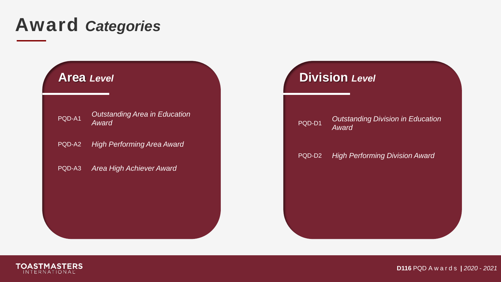## **Award** *Categories*

| PQD-A1 | <b>Outstanding Area in Education</b> |
|--------|--------------------------------------|
|        | <b>Award</b>                         |

PQD-A2 *High Performing Area Award* 

PQD-A3 *Area High Achiever Award* 

### **Area** *Level* **Division** *Level*

### PQD-D1 *Outstanding Division in Education Award*

### PQD-D2 *High Performing Division Award*



**D116** PQD A w a r d s *| 2020 - 2021*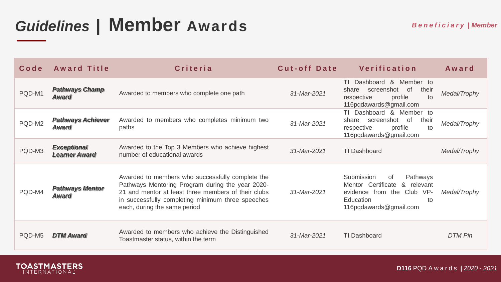## *Guidelines* **| Member Awards**

| $C$ o d e | <b>Award Title</b>                         | Criteria                                                                                                                                                                                                                                         | <b>Cut-off Date</b> | Verification                                                                                                                             | Award        |
|-----------|--------------------------------------------|--------------------------------------------------------------------------------------------------------------------------------------------------------------------------------------------------------------------------------------------------|---------------------|------------------------------------------------------------------------------------------------------------------------------------------|--------------|
| PQD-M1    | <b>Pathways Champ</b><br><b>Award</b>      | Awarded to members who complete one path                                                                                                                                                                                                         | 31-Mar-2021         | Member to<br>Dashboard &<br>ΤL<br>screenshot of<br>share<br>their<br>profile<br>to<br>respective<br>116pqdawards@gmail.com               | Medal/Trophy |
| PQD-M2    | <b>Pathways Achiever</b><br><b>Award</b>   | Awarded to members who completes minimum two<br>paths                                                                                                                                                                                            | 31-Mar-2021         | TI Dashboard & Member to<br>screenshot of<br>their<br>share<br>profile<br>to<br>respective<br>116pqdawards@gmail.com                     | Medal/Trophy |
| PQD-M3    | <b>Exceptional</b><br><b>Learner Award</b> | Awarded to the Top 3 Members who achieve highest<br>number of educational awards                                                                                                                                                                 | 31-Mar-2021         | TI Dashboard                                                                                                                             | Medal/Trophy |
| PQD-M4    | <b>Pathways Mentor</b><br><b>Award</b>     | Awarded to members who successfully complete the<br>Pathways Mentoring Program during the year 2020-<br>21 and mentor at least three members of their clubs<br>in successfully completing minimum three speeches<br>each, during the same period | 31-Mar-2021         | Submission<br>Pathways<br>0f<br>Mentor Certificate & relevant<br>evidence from the Club VP-<br>Education<br>to<br>116pqdawards@gmail.com | Medal/Trophy |
| PQD-M5    | <b>DTM Award</b>                           | Awarded to members who achieve the Distinguished<br>Toastmaster status, within the term                                                                                                                                                          | 31-Mar-2021         | <b>TI Dashboard</b>                                                                                                                      | DTM Pin      |

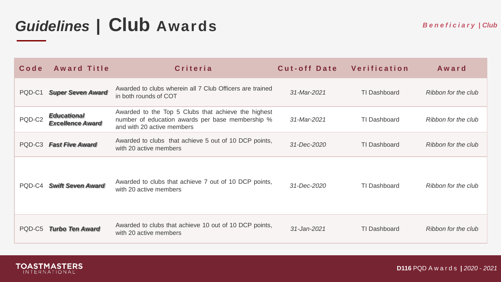# *Guidelines* **| Club Awards**

| $C$ o d e | <b>Award Title</b>                            | Criteria                                                                                                                              | Cut-off Date | Verification | Award               |
|-----------|-----------------------------------------------|---------------------------------------------------------------------------------------------------------------------------------------|--------------|--------------|---------------------|
| PQD-C1    | <b>Super Seven Award</b>                      | Awarded to clubs wherein all 7 Club Officers are trained<br>in both rounds of COT                                                     | 31-Mar-2021  | TI Dashboard | Ribbon for the club |
| PQD-C2    | <b>Educational</b><br><b>Excellence Award</b> | Awarded to the Top 5 Clubs that achieve the highest<br>number of education awards per base membership %<br>and with 20 active members | 31-Mar-2021  | TI Dashboard | Ribbon for the club |
| PQD-C3    | <b>Fast Five Award</b>                        | Awarded to clubs that achieve 5 out of 10 DCP points,<br>with 20 active members                                                       | 31-Dec-2020  | TI Dashboard | Ribbon for the club |
|           | PQD-C4 Swift Seven Award                      | Awarded to clubs that achieve 7 out of 10 DCP points,<br>with 20 active members                                                       | 31-Dec-2020  | TI Dashboard | Ribbon for the club |
| PQD-C5    | <b>Turbo Ten Award</b>                        | Awarded to clubs that achieve 10 out of 10 DCP points,<br>with 20 active members                                                      | 31-Jan-2021  | TI Dashboard | Ribbon for the club |



**D116** PQD A w a r d s *| 2020 - 2021*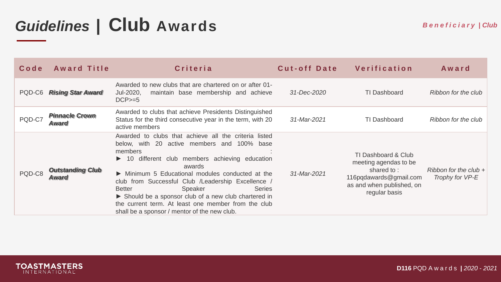# *Guidelines* **| Club Awards**

| $C$ o d e | <b>Award Title</b>                    | Criteria                                                                                                                                                                                                                                                                                                                                                                                                                                                                                        | Cut-off Date | Verification                                                                                                                          | Award                                      |
|-----------|---------------------------------------|-------------------------------------------------------------------------------------------------------------------------------------------------------------------------------------------------------------------------------------------------------------------------------------------------------------------------------------------------------------------------------------------------------------------------------------------------------------------------------------------------|--------------|---------------------------------------------------------------------------------------------------------------------------------------|--------------------------------------------|
| PQD-C6    | <b>Rising Star Award</b>              | Awarded to new clubs that are chartered on or after 01-<br>maintain base membership and achieve<br>Jul-2020,<br>$DCP>=5$                                                                                                                                                                                                                                                                                                                                                                        | 31-Dec-2020  | TI Dashboard                                                                                                                          | Ribbon for the club                        |
| PQD-C7    | <b>Pinnacle Crown</b><br><b>Award</b> | Awarded to clubs that achieve Presidents Distinguished<br>Status for the third consecutive year in the term, with 20<br>active members                                                                                                                                                                                                                                                                                                                                                          | 31-Mar-2021  | TI Dashboard                                                                                                                          | Ribbon for the club                        |
| PQD-C8    | <b>Outstanding Club</b><br>Award      | Awarded to clubs that achieve all the criteria listed<br>below, with 20 active members and 100% base<br>members<br>▶ 10 different club members achieving education<br>awards<br>Minimum 5 Educational modules conducted at the<br>club from Successful Club /Leadership Excellence /<br>Speaker<br><b>Better</b><br><b>Series</b><br>Should be a sponsor club of a new club chartered in<br>the current term. At least one member from the club<br>shall be a sponsor / mentor of the new club. | 31-Mar-2021  | TI Dashboard & Club<br>meeting agendas to be<br>shared to:<br>116 pg dawards @gmail.com<br>as and when published, on<br>regular basis | Ribbon for the club $+$<br>Trophy for VP-E |

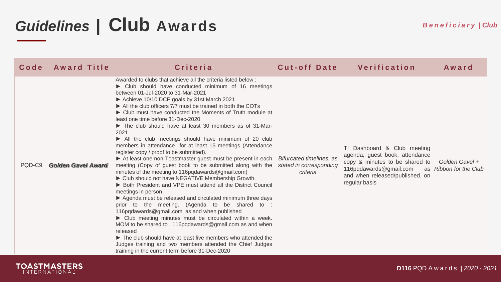# *Guidelines* **| Club Awards**

| $C$ o d e | <b>Award Title</b>        | <b>Criteria</b>                                                                                                                                                                                                                                                                                                                                                                                                                                                                                                                                                                                                                                                                                                                                                                                                                                                                                                                                                                                                                                                                                                                                                                                                                                                                                                                                                                                                          | <b>Cut-off Date</b>                                             | Verification                                                                                                                                                                  | Award                                    |
|-----------|---------------------------|--------------------------------------------------------------------------------------------------------------------------------------------------------------------------------------------------------------------------------------------------------------------------------------------------------------------------------------------------------------------------------------------------------------------------------------------------------------------------------------------------------------------------------------------------------------------------------------------------------------------------------------------------------------------------------------------------------------------------------------------------------------------------------------------------------------------------------------------------------------------------------------------------------------------------------------------------------------------------------------------------------------------------------------------------------------------------------------------------------------------------------------------------------------------------------------------------------------------------------------------------------------------------------------------------------------------------------------------------------------------------------------------------------------------------|-----------------------------------------------------------------|-------------------------------------------------------------------------------------------------------------------------------------------------------------------------------|------------------------------------------|
| PQD-C9    | <b>Golden Gavel Award</b> | Awarded to clubs that achieve all the criteria listed below:<br>• Club should have conducted minimum of 16 meetings<br>between 01-Jul-2020 to 31-Mar-2021<br>Achieve 10/10 DCP goals by 31st March 2021<br>All the club officers 7/7 must be trained in both the COTs<br>• Club must have conducted the Moments of Truth module at<br>least one time before 31-Dec-2020<br>The club should have at least 30 members as of 31-Mar-<br>2021<br>All the club meetings should have minimum of 20 club<br>members in attendance for at least 15 meetings (Attendance<br>register copy / proof to be submitted).<br>At least one non-Toastmaster guest must be present in each<br>meeting (Copy of guest book to be submitted along with the<br>minutes of the meeting to 116pqdawards@gmail.com)<br>Club should not have NEGATIVE Membership Growth.<br>▶ Both President and VPE must attend all the District Council<br>meetings in person<br>Agenda must be released and circulated minimum three days<br>prior to the meeting. (Agenda to be shared to :<br>116pqdawards@gmail.com as and when published<br>▶ Club meeting minutes must be circulated within a week.<br>MOM to be shared to: 116pqdawards@gmail.com as and when<br>released<br>The club should have at least five members who attended the<br>Judges training and two members attended the Chief Judges<br>training in the current term before 31-Dec-2020 | Bifurcated timelines, as<br>stated in corresponding<br>criteria | TI Dashboard & Club meeting<br>agenda, guest book, attendance<br>copy & minutes to be shared to<br>116pqdawards@gmail.com<br>and when released/published, on<br>regular basis | Golden Gavel +<br>as Ribbon for the Club |

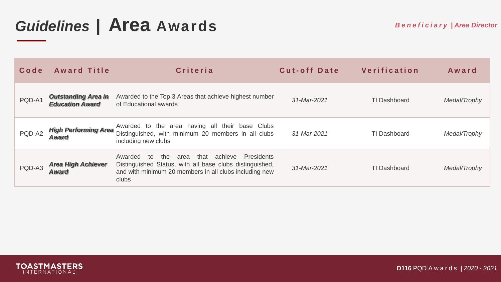### *Guidelines* **| Area Awards**

| $C$ o d e | <b>Award Title</b>                                   | Criteria                                                                                                                                                                                            | Cut-off Date | Verification        | Award        |
|-----------|------------------------------------------------------|-----------------------------------------------------------------------------------------------------------------------------------------------------------------------------------------------------|--------------|---------------------|--------------|
| PQD-A1    | <b>Outstanding Area in</b><br><b>Education Award</b> | Awarded to the Top 3 Areas that achieve highest number<br>of Educational awards                                                                                                                     | 31-Mar-2021  | <b>TI Dashboard</b> | Medal/Trophy |
| PQD-A2    | <b>High Performing Area</b><br><b>Award</b>          | Awarded to the area having all their base Clubs<br>Distinguished, with minimum 20 members in all clubs<br>including new clubs                                                                       | 31-Mar-2021  | <b>TI Dashboard</b> | Medal/Trophy |
| PQD-A3    | <b>Area High Achiever</b><br>Award                   | the<br>that<br>achieve<br><b>Presidents</b><br>Awarded<br>area<br>to<br>Distinguished Status, with all base clubs distinguished,<br>and with minimum 20 members in all clubs including new<br>clubs | 31-Mar-2021  | TI Dashboard        | Medal/Trophy |

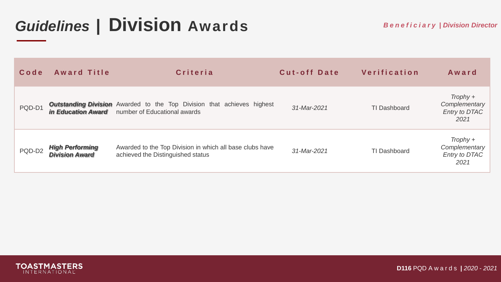## *Guidelines* **| Division Awards**

| Code   | <b>Award Title</b>                              | Criteria                                                                                                                                | <b>Cut-off Date</b> | Verification        | Award                                                |
|--------|-------------------------------------------------|-----------------------------------------------------------------------------------------------------------------------------------------|---------------------|---------------------|------------------------------------------------------|
| PQD-D1 |                                                 | <b>Outstanding Division</b> Awarded to the Top Division that achieves highest<br><i>in Education Award</i> number of Educational awards | 31-Mar-2021         | <b>TI Dashboard</b> | $Trophy +$<br>Complementary<br>Entry to DTAC<br>2021 |
| PQD-D2 | <b>High Performing</b><br><b>Division Award</b> | Awarded to the Top Division in which all base clubs have<br>achieved the Distinguished status                                           | 31-Mar-2021         | <b>TI Dashboard</b> | $Trophy +$<br>Complementary<br>Entry to DTAC<br>2021 |